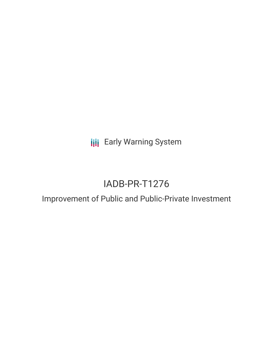**III** Early Warning System

# IADB-PR-T1276

## Improvement of Public and Public-Private Investment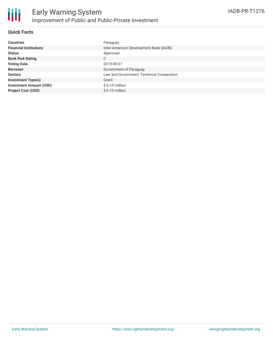

#### **Quick Facts**

| <b>Countries</b>               | Paraguay                                  |
|--------------------------------|-------------------------------------------|
| <b>Financial Institutions</b>  | Inter-American Development Bank (IADB)    |
| <b>Status</b>                  | Approved                                  |
| <b>Bank Risk Rating</b>        | С                                         |
| <b>Voting Date</b>             | 2019-09-27                                |
| <b>Borrower</b>                | Government of Paraguay                    |
| <b>Sectors</b>                 | Law and Government, Technical Cooperation |
| <b>Investment Type(s)</b>      | Grant                                     |
| <b>Investment Amount (USD)</b> | \$0.10 million                            |
| <b>Project Cost (USD)</b>      | $$0.10$ million                           |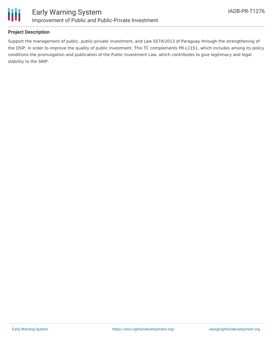

#### **Project Description**

Support the management of public, public-private investment, and Law 5074/2013 of Paraguay through the strengthening of the DSIP, in order to improve the quality of public investment. This TC complements PR-L1151, which includes among its policy conditions the promulgation and publication of the Public Investment Law, which contributes to give legitimacy and legal stability to the SNIP.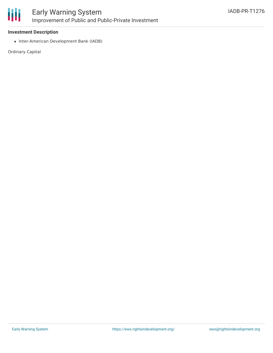

#### **Investment Description**

• Inter-American Development Bank (IADB)

Ordinary Capital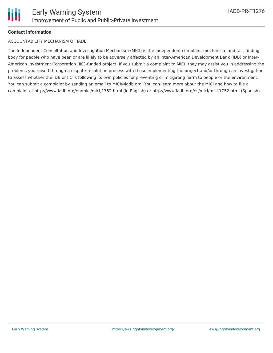#### **Contact Information**

#### ACCOUNTABILITY MECHANISM OF IADB

The Independent Consultation and Investigation Mechanism (MICI) is the independent complaint mechanism and fact-finding body for people who have been or are likely to be adversely affected by an Inter-American Development Bank (IDB) or Inter-American Investment Corporation (IIC)-funded project. If you submit a complaint to MICI, they may assist you in addressing the problems you raised through a dispute-resolution process with those implementing the project and/or through an investigation to assess whether the IDB or IIC is following its own policies for preventing or mitigating harm to people or the environment. You can submit a complaint by sending an email to MICI@iadb.org. You can learn more about the MICI and how to file a complaint at http://www.iadb.org/en/mici/mici,1752.html (in English) or http://www.iadb.org/es/mici/mici,1752.html (Spanish).